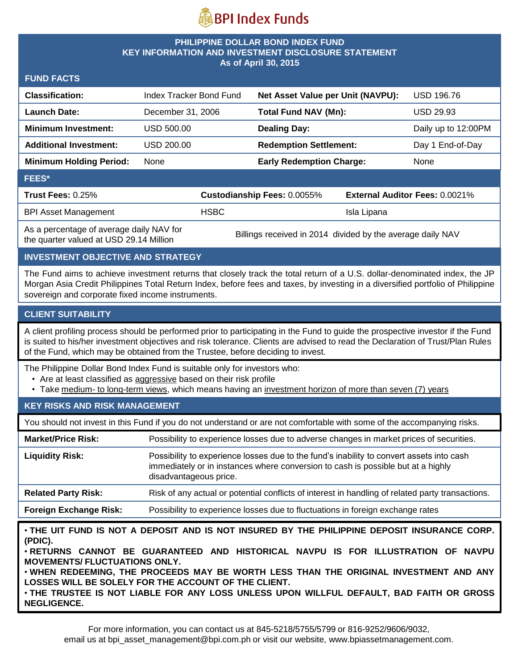

#### **PHILIPPINE DOLLAR BOND INDEX FUND KEY INFORMATION AND INVESTMENT DISCLOSURE STATEMENT As of April 30, 2015**

| <b>FUND FACTS</b> |  |
|-------------------|--|
|-------------------|--|

| <b>Classification:</b>                   | Index Tracker Bond Fund |                             | Net Asset Value per Unit (NAVPU): |             | <b>USD 196.76</b>                     |  |
|------------------------------------------|-------------------------|-----------------------------|-----------------------------------|-------------|---------------------------------------|--|
| <b>Launch Date:</b>                      | December 31, 2006       |                             | <b>Total Fund NAV (Mn):</b>       |             | <b>USD 29.93</b>                      |  |
| <b>Minimum Investment:</b>               | USD 500.00              |                             | <b>Dealing Day:</b>               |             | Daily up to 12:00PM                   |  |
| <b>Additional Investment:</b>            | USD 200.00              |                             | <b>Redemption Settlement:</b>     |             | Day 1 End-of-Day                      |  |
| <b>Minimum Holding Period:</b>           | None                    |                             | <b>Early Redemption Charge:</b>   |             | None                                  |  |
| <b>FEES*</b>                             |                         |                             |                                   |             |                                       |  |
| <b>Trust Fees: 0.25%</b>                 |                         | Custodianship Fees: 0.0055% |                                   |             | <b>External Auditor Fees: 0.0021%</b> |  |
| <b>BPI Asset Management</b>              |                         | <b>HSBC</b>                 |                                   | Isla Lipana |                                       |  |
| As a nercentage of average daily NAV for |                         |                             |                                   |             |                                       |  |

As a percentage of average daily NAV for

As a percentage of average daily NAV for Billings received in 2014 divided by the average daily NAV the quarter valued at USD 29.14 Million

## **INVESTMENT OBJECTIVE AND STRATEGY**

The Fund aims to achieve investment returns that closely track the total return of a U.S. dollar-denominated index, the JP Morgan Asia Credit Philippines Total Return Index, before fees and taxes, by investing in a diversified portfolio of Philippine sovereign and corporate fixed income instruments.

## **CLIENT SUITABILITY**

A client profiling process should be performed prior to participating in the Fund to guide the prospective investor if the Fund is suited to his/her investment objectives and risk tolerance. Clients are advised to read the Declaration of Trust/Plan Rules of the Fund, which may be obtained from the Trustee, before deciding to invest.

The Philippine Dollar Bond Index Fund is suitable only for investors who:

- Are at least classified as aggressive based on their risk profile
- Take medium- to long-term views, which means having an investment horizon of more than seven (7) years

## **KEY RISKS AND RISK MANAGEMENT**

You should not invest in this Fund if you do not understand or are not comfortable with some of the accompanying risks.

| Possibility to experience losses due to adverse changes in market prices of securities.                                                                                                                |
|--------------------------------------------------------------------------------------------------------------------------------------------------------------------------------------------------------|
| Possibility to experience losses due to the fund's inability to convert assets into cash<br>immediately or in instances where conversion to cash is possible but at a highly<br>disadvantageous price. |
| Risk of any actual or potential conflicts of interest in handling of related party transactions.                                                                                                       |
| Possibility to experience losses due to fluctuations in foreign exchange rates                                                                                                                         |
|                                                                                                                                                                                                        |

• **THE UIT FUND IS NOT A DEPOSIT AND IS NOT INSURED BY THE PHILIPPINE DEPOSIT INSURANCE CORP. (PDIC).**

• **RETURNS CANNOT BE GUARANTEED AND HISTORICAL NAVPU IS FOR ILLUSTRATION OF NAVPU MOVEMENTS/ FLUCTUATIONS ONLY.**

• **WHEN REDEEMING, THE PROCEEDS MAY BE WORTH LESS THAN THE ORIGINAL INVESTMENT AND ANY LOSSES WILL BE SOLELY FOR THE ACCOUNT OF THE CLIENT.**

• **THE TRUSTEE IS NOT LIABLE FOR ANY LOSS UNLESS UPON WILLFUL DEFAULT, BAD FAITH OR GROSS NEGLIGENCE.**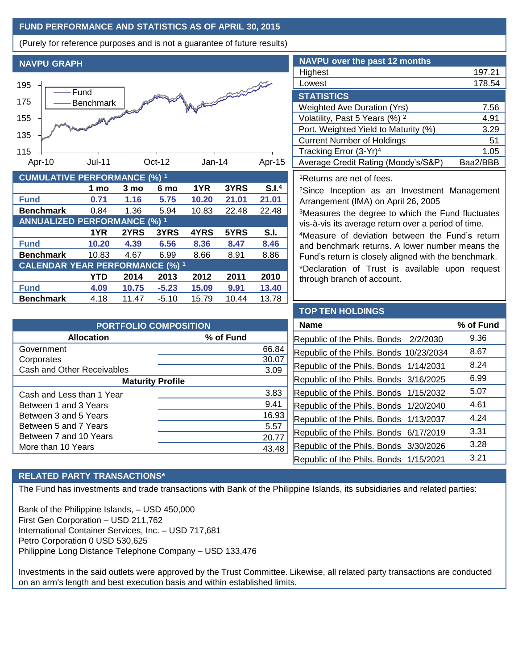# **FUND PERFORMANCE AND STATISTICS AS OF APRIL 30, 2015**

(Purely for reference purposes and is not a guarantee of future results)



| <b>CUMULATIVE PERFORMANCE (%) 1</b>    |       |       |         |       |       |                   |
|----------------------------------------|-------|-------|---------|-------|-------|-------------------|
|                                        | 1 mo  | 3 mo  | 6 mo    | 1YR   | 3YRS  | S.I. <sup>4</sup> |
| <b>Fund</b>                            | 0.71  | 1.16  | 5.75    | 10.20 | 21.01 | 21.01             |
| <b>Benchmark</b>                       | 0.84  | 1.36  | 5.94    | 10.83 | 22.48 | 22.48             |
| <b>ANNUALIZED PERFORMANCE (%) 1</b>    |       |       |         |       |       |                   |
|                                        | 1YR   | 2YRS  | 3YRS    | 4YRS  | 5YRS  | S.I.              |
| <b>Fund</b>                            | 10.20 | 4.39  | 6.56    | 8.36  | 8.47  | 8.46              |
| <b>Benchmark</b>                       | 10.83 | 4.67  | 6.99    | 8.66  | 8.91  | 8.86              |
| <b>CALENDAR YEAR PERFORMANCE (%) 1</b> |       |       |         |       |       |                   |
|                                        | YTD   | 2014  | 2013    | 2012  | 2011  | 2010              |
| <b>Fund</b>                            | 4.09  | 10.75 | $-5.23$ | 15.09 | 9.91  | 13.40             |
| <b>Benchmark</b>                       | 4.18  | 11.47 | $-5.10$ | 15.79 | 10.44 | 13.78             |

| <b>NAVPU</b> over the past 12 months      |          |
|-------------------------------------------|----------|
| Highest                                   | 197.21   |
| Lowest                                    | 178.54   |
| <b>STATISTICS</b>                         |          |
| <b>Weighted Ave Duration (Yrs)</b>        | 7.56     |
| Volatility, Past 5 Years (%) <sup>2</sup> | 4.91     |
| Port. Weighted Yield to Maturity (%)      | 3.29     |
| <b>Current Number of Holdings</b>         | 51       |
| Tracking Error (3-Yr) <sup>4</sup>        | 1.05     |
| Average Credit Rating (Moody's/S&P)       | Baa2/BBB |

<sup>1</sup>Returns are net of fees.

<sup>2</sup>Since Inception as an Investment Management Arrangement (IMA) on April 26, 2005

<sup>3</sup>Measures the degree to which the Fund fluctuates vis-à-vis its average return over a period of time.

<sup>4</sup>Measure of deviation between the Fund's return and benchmark returns. A lower number means the Fund's return is closely aligned with the benchmark.

\*Declaration of Trust is available upon request through branch of account.

| <b>PORTFOLIO COMPOSITION</b> |           |       |  |  |  |
|------------------------------|-----------|-------|--|--|--|
| <b>Allocation</b>            | % of Fund |       |  |  |  |
| Government                   |           | 66.84 |  |  |  |
| Corporates                   |           | 30.07 |  |  |  |
| Cash and Other Receivables   |           | 3.09  |  |  |  |
| <b>Maturity Profile</b>      |           |       |  |  |  |
| Cash and Less than 1 Year    |           | 3.83  |  |  |  |
| Between 1 and 3 Years        |           | 9.41  |  |  |  |
| Between 3 and 5 Years        |           | 16.93 |  |  |  |
| Between 5 and 7 Years        |           | 5.57  |  |  |  |
| Between 7 and 10 Years       |           | 20.77 |  |  |  |
| More than 10 Years           |           | 43.48 |  |  |  |

#### **TOP TEN HOLDINGS**

| <b>Name</b>                             | % of Fund |
|-----------------------------------------|-----------|
| Republic of the Phils. Bonds 2/2/2030   | 9.36      |
| Republic of the Phils. Bonds 10/23/2034 | 8.67      |
| Republic of the Phils. Bonds 1/14/2031  | 8.24      |
| Republic of the Phils. Bonds 3/16/2025  | 6.99      |
| Republic of the Phils. Bonds 1/15/2032  | 5.07      |
| Republic of the Phils. Bonds 1/20/2040  | 4.61      |
| Republic of the Phils. Bonds 1/13/2037  | 4.24      |
| Republic of the Phils. Bonds 6/17/2019  | 3.31      |
| Republic of the Phils. Bonds 3/30/2026  | 3.28      |
| Republic of the Phils. Bonds 1/15/2021  | 3.21      |

## **RELATED PARTY TRANSACTIONS\***

The Fund has investments and trade transactions with Bank of the Philippine Islands, its subsidiaries and related parties:

Bank of the Philippine Islands, – USD 450,000 First Gen Corporation – USD 211,762 International Container Services, Inc. – USD 717,681 Petro Corporation 0 USD 530,625 Philippine Long Distance Telephone Company – USD 133,476

Investments in the said outlets were approved by the Trust Committee. Likewise, all related party transactions are conducted on an arm's length and best execution basis and within established limits.